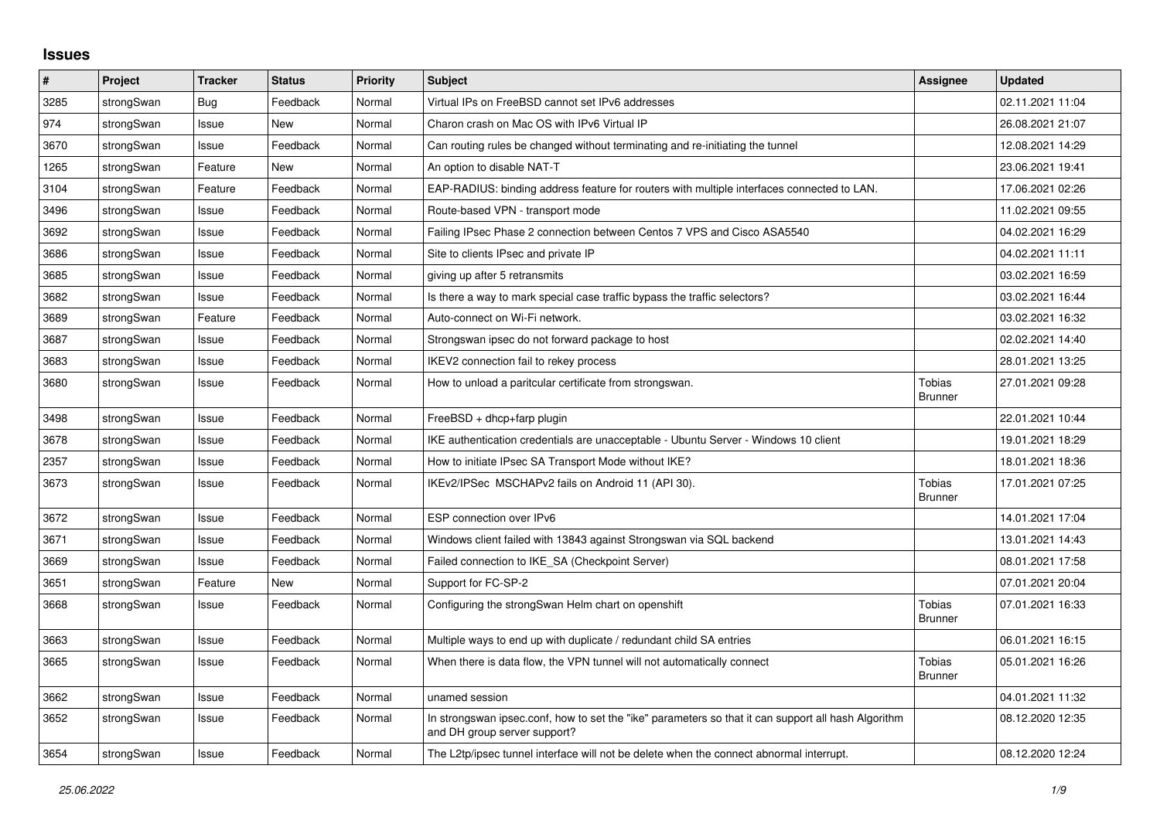## **Issues**

| #    | Project    | <b>Tracker</b> | <b>Status</b> | <b>Priority</b> | <b>Subject</b>                                                                                                                      | <b>Assignee</b>                 | <b>Updated</b>   |
|------|------------|----------------|---------------|-----------------|-------------------------------------------------------------------------------------------------------------------------------------|---------------------------------|------------------|
| 3285 | strongSwan | Bug            | Feedback      | Normal          | Virtual IPs on FreeBSD cannot set IPv6 addresses                                                                                    |                                 | 02.11.2021 11:04 |
| 974  | strongSwan | Issue          | New           | Normal          | Charon crash on Mac OS with IPv6 Virtual IP                                                                                         |                                 | 26.08.2021 21:07 |
| 3670 | strongSwan | Issue          | Feedback      | Normal          | Can routing rules be changed without terminating and re-initiating the tunnel                                                       |                                 | 12.08.2021 14:29 |
| 1265 | strongSwan | Feature        | <b>New</b>    | Normal          | An option to disable NAT-T                                                                                                          |                                 | 23.06.2021 19:41 |
| 3104 | strongSwan | Feature        | Feedback      | Normal          | EAP-RADIUS: binding address feature for routers with multiple interfaces connected to LAN.                                          |                                 | 17.06.2021 02:26 |
| 3496 | strongSwan | Issue          | Feedback      | Normal          | Route-based VPN - transport mode                                                                                                    |                                 | 11.02.2021 09:55 |
| 3692 | strongSwan | Issue          | Feedback      | Normal          | Failing IPsec Phase 2 connection between Centos 7 VPS and Cisco ASA5540                                                             |                                 | 04.02.2021 16:29 |
| 3686 | strongSwan | Issue          | Feedback      | Normal          | Site to clients IPsec and private IP                                                                                                |                                 | 04.02.2021 11:11 |
| 3685 | strongSwan | Issue          | Feedback      | Normal          | giving up after 5 retransmits                                                                                                       |                                 | 03.02.2021 16:59 |
| 3682 | strongSwan | Issue          | Feedback      | Normal          | Is there a way to mark special case traffic bypass the traffic selectors?                                                           |                                 | 03.02.2021 16:44 |
| 3689 | strongSwan | Feature        | Feedback      | Normal          | Auto-connect on Wi-Fi network.                                                                                                      |                                 | 03.02.2021 16:32 |
| 3687 | strongSwan | Issue          | Feedback      | Normal          | Strongswan ipsec do not forward package to host                                                                                     |                                 | 02.02.2021 14:40 |
| 3683 | strongSwan | Issue          | Feedback      | Normal          | IKEV2 connection fail to rekey process                                                                                              |                                 | 28.01.2021 13:25 |
| 3680 | strongSwan | Issue          | Feedback      | Normal          | How to unload a paritcular certificate from strongswan.                                                                             | <b>Tobias</b><br><b>Brunner</b> | 27.01.2021 09:28 |
| 3498 | strongSwan | Issue          | Feedback      | Normal          | $FreeBSD + dhcp + farp plugin$                                                                                                      |                                 | 22.01.2021 10:44 |
| 3678 | strongSwan | Issue          | Feedback      | Normal          | IKE authentication credentials are unacceptable - Ubuntu Server - Windows 10 client                                                 |                                 | 19.01.2021 18:29 |
| 2357 | strongSwan | Issue          | Feedback      | Normal          | How to initiate IPsec SA Transport Mode without IKE?                                                                                |                                 | 18.01.2021 18:36 |
| 3673 | strongSwan | Issue          | Feedback      | Normal          | IKEv2/IPSec MSCHAPv2 fails on Android 11 (API 30).                                                                                  | Tobias<br><b>Brunner</b>        | 17.01.2021 07:25 |
| 3672 | strongSwan | Issue          | Feedback      | Normal          | ESP connection over IPv6                                                                                                            |                                 | 14.01.2021 17:04 |
| 3671 | strongSwan | Issue          | Feedback      | Normal          | Windows client failed with 13843 against Strongswan via SQL backend                                                                 |                                 | 13.01.2021 14:43 |
| 3669 | strongSwan | Issue          | Feedback      | Normal          | Failed connection to IKE SA (Checkpoint Server)                                                                                     |                                 | 08.01.2021 17:58 |
| 3651 | strongSwan | Feature        | <b>New</b>    | Normal          | Support for FC-SP-2                                                                                                                 |                                 | 07.01.2021 20:04 |
| 3668 | strongSwan | Issue          | Feedback      | Normal          | Configuring the strongSwan Helm chart on openshift                                                                                  | Tobias<br><b>Brunner</b>        | 07.01.2021 16:33 |
| 3663 | strongSwan | Issue          | Feedback      | Normal          | Multiple ways to end up with duplicate / redundant child SA entries                                                                 |                                 | 06.01.2021 16:15 |
| 3665 | strongSwan | Issue          | Feedback      | Normal          | When there is data flow, the VPN tunnel will not automatically connect                                                              | Tobias<br><b>Brunner</b>        | 05.01.2021 16:26 |
| 3662 | strongSwan | Issue          | Feedback      | Normal          | unamed session                                                                                                                      |                                 | 04.01.2021 11:32 |
| 3652 | strongSwan | Issue          | Feedback      | Normal          | In strongswan ipsec.conf, how to set the "ike" parameters so that it can support all hash Algorithm<br>and DH group server support? |                                 | 08.12.2020 12:35 |
| 3654 | strongSwan | Issue          | Feedback      | Normal          | The L2tp/ipsec tunnel interface will not be delete when the connect abnormal interrupt.                                             |                                 | 08.12.2020 12:24 |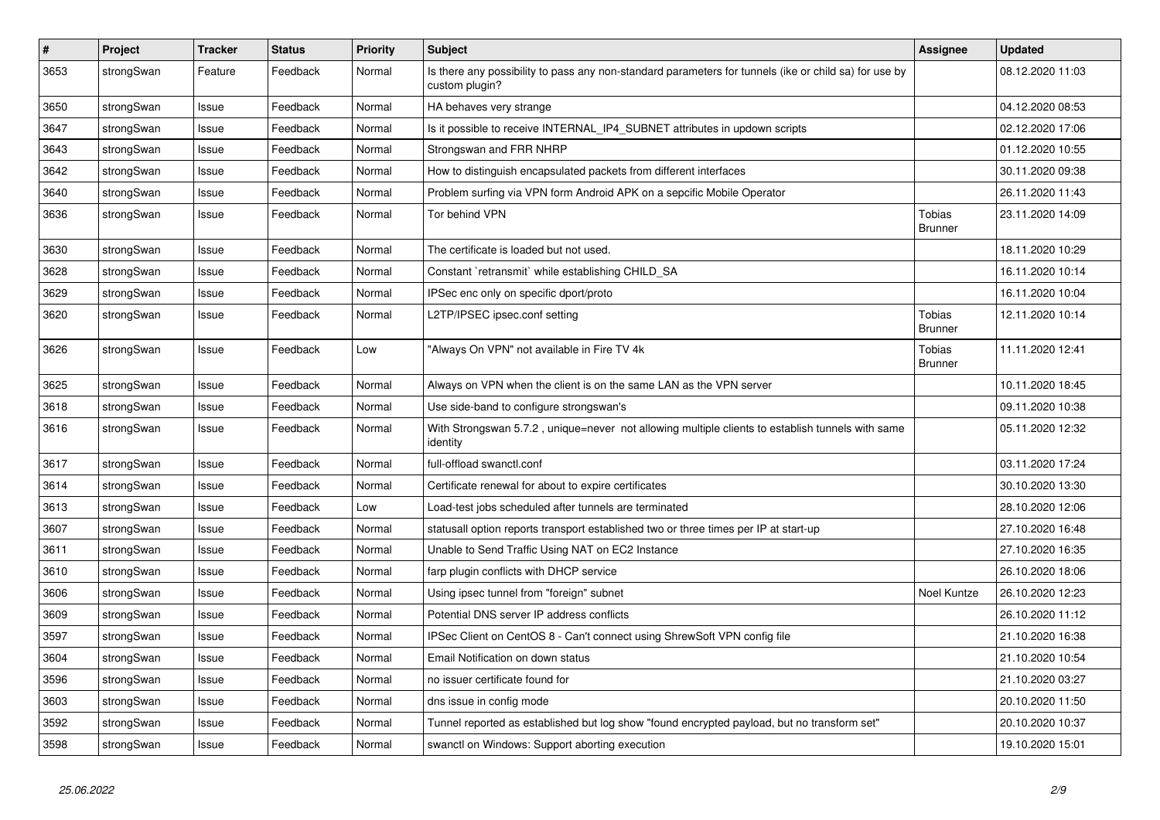| $\pmb{\#}$ | Project    | <b>Tracker</b> | <b>Status</b> | <b>Priority</b> | <b>Subject</b>                                                                                                          | <b>Assignee</b>                 | <b>Updated</b>   |
|------------|------------|----------------|---------------|-----------------|-------------------------------------------------------------------------------------------------------------------------|---------------------------------|------------------|
| 3653       | strongSwan | Feature        | Feedback      | Normal          | Is there any possibility to pass any non-standard parameters for tunnels (ike or child sa) for use by<br>custom plugin? |                                 | 08.12.2020 11:03 |
| 3650       | strongSwan | Issue          | Feedback      | Normal          | HA behaves very strange                                                                                                 |                                 | 04.12.2020 08:53 |
| 3647       | strongSwan | Issue          | Feedback      | Normal          | Is it possible to receive INTERNAL_IP4_SUBNET attributes in updown scripts                                              |                                 | 02.12.2020 17:06 |
| 3643       | strongSwan | Issue          | Feedback      | Normal          | Strongswan and FRR NHRP                                                                                                 |                                 | 01.12.2020 10:55 |
| 3642       | strongSwan | Issue          | Feedback      | Normal          | How to distinguish encapsulated packets from different interfaces                                                       |                                 | 30.11.2020 09:38 |
| 3640       | strongSwan | Issue          | Feedback      | Normal          | Problem surfing via VPN form Android APK on a sepcific Mobile Operator                                                  |                                 | 26.11.2020 11:43 |
| 3636       | strongSwan | Issue          | Feedback      | Normal          | Tor behind VPN                                                                                                          | <b>Tobias</b><br><b>Brunner</b> | 23.11.2020 14:09 |
| 3630       | strongSwan | Issue          | Feedback      | Normal          | The certificate is loaded but not used.                                                                                 |                                 | 18.11.2020 10:29 |
| 3628       | strongSwan | Issue          | Feedback      | Normal          | Constant `retransmit` while establishing CHILD_SA                                                                       |                                 | 16.11.2020 10:14 |
| 3629       | strongSwan | Issue          | Feedback      | Normal          | IPSec enc only on specific dport/proto                                                                                  |                                 | 16.11.2020 10:04 |
| 3620       | strongSwan | Issue          | Feedback      | Normal          | L2TP/IPSEC ipsec.conf setting                                                                                           | <b>Tobias</b><br><b>Brunner</b> | 12.11.2020 10:14 |
| 3626       | strongSwan | lssue          | Feedback      | Low             | "Always On VPN" not available in Fire TV 4k                                                                             | <b>Tobias</b><br><b>Brunner</b> | 11.11.2020 12:41 |
| 3625       | strongSwan | Issue          | Feedback      | Normal          | Always on VPN when the client is on the same LAN as the VPN server                                                      |                                 | 10.11.2020 18:45 |
| 3618       | strongSwan | Issue          | Feedback      | Normal          | Use side-band to configure strongswan's                                                                                 |                                 | 09.11.2020 10:38 |
| 3616       | strongSwan | Issue          | Feedback      | Normal          | With Strongswan 5.7.2, unique=never not allowing multiple clients to establish tunnels with same<br>identity            |                                 | 05.11.2020 12:32 |
| 3617       | strongSwan | Issue          | Feedback      | Normal          | full-offload swanctl.conf                                                                                               |                                 | 03.11.2020 17:24 |
| 3614       | strongSwan | Issue          | Feedback      | Normal          | Certificate renewal for about to expire certificates                                                                    |                                 | 30.10.2020 13:30 |
| 3613       | strongSwan | Issue          | Feedback      | Low             | Load-test jobs scheduled after tunnels are terminated                                                                   |                                 | 28.10.2020 12:06 |
| 3607       | strongSwan | Issue          | Feedback      | Normal          | statusall option reports transport established two or three times per IP at start-up                                    |                                 | 27.10.2020 16:48 |
| 3611       | strongSwan | Issue          | Feedback      | Normal          | Unable to Send Traffic Using NAT on EC2 Instance                                                                        |                                 | 27.10.2020 16:35 |
| 3610       | strongSwan | lssue          | Feedback      | Normal          | farp plugin conflicts with DHCP service                                                                                 |                                 | 26.10.2020 18:06 |
| 3606       | strongSwan | Issue          | Feedback      | Normal          | Using ipsec tunnel from "foreign" subnet                                                                                | Noel Kuntze                     | 26.10.2020 12:23 |
| 3609       | strongSwan | Issue          | Feedback      | Normal          | Potential DNS server IP address conflicts                                                                               |                                 | 26.10.2020 11:12 |
| 3597       | strongSwan | Issue          | Feedback      | Normal          | IPSec Client on CentOS 8 - Can't connect using ShrewSoft VPN config file                                                |                                 | 21.10.2020 16:38 |
| 3604       | strongSwan | Issue          | Feedback      | Normal          | Email Notification on down status                                                                                       |                                 | 21.10.2020 10:54 |
| 3596       | strongSwan | Issue          | Feedback      | Normal          | no issuer certificate found for                                                                                         |                                 | 21.10.2020 03:27 |
| 3603       | strongSwan | Issue          | Feedback      | Normal          | dns issue in config mode                                                                                                |                                 | 20.10.2020 11:50 |
| 3592       | strongSwan | Issue          | Feedback      | Normal          | Tunnel reported as established but log show "found encrypted payload, but no transform set"                             |                                 | 20.10.2020 10:37 |
| 3598       | strongSwan | Issue          | Feedback      | Normal          | swanctl on Windows: Support aborting execution                                                                          |                                 | 19.10.2020 15:01 |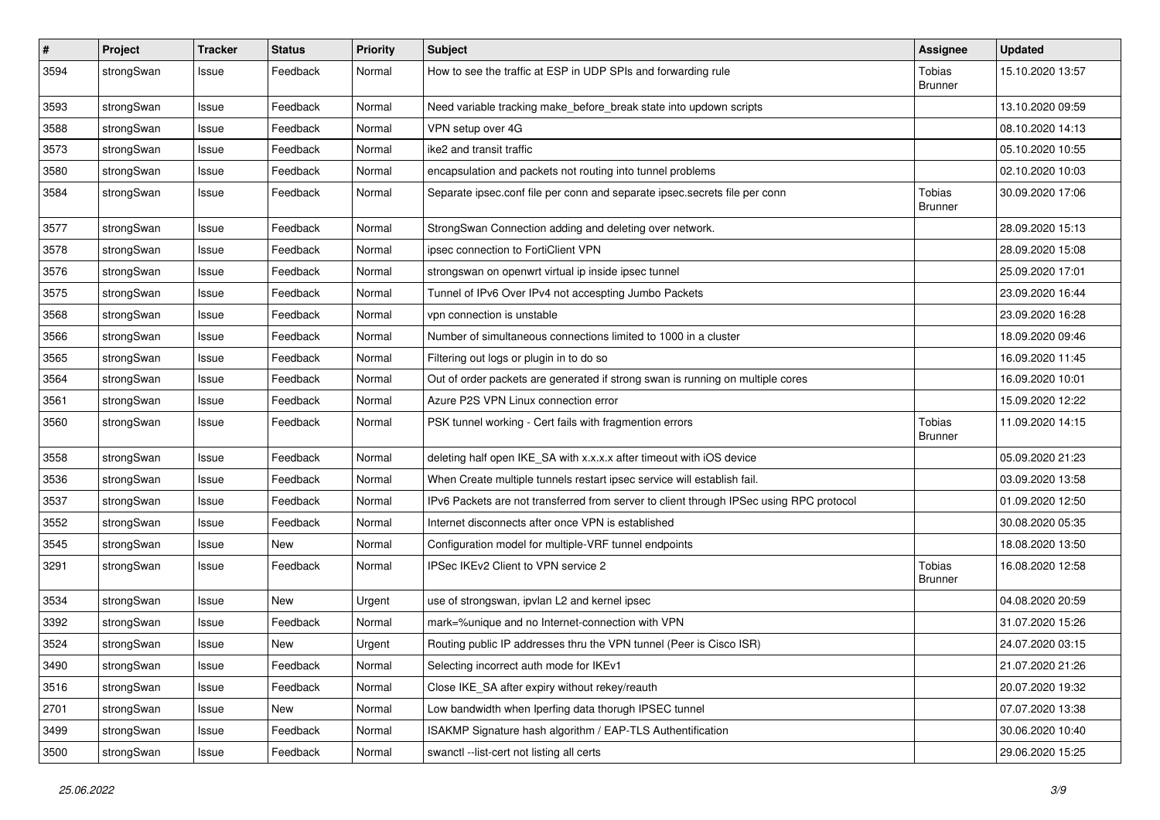| $\pmb{\#}$ | Project    | <b>Tracker</b> | <b>Status</b> | <b>Priority</b> | <b>Subject</b>                                                                          | <b>Assignee</b>          | <b>Updated</b>   |
|------------|------------|----------------|---------------|-----------------|-----------------------------------------------------------------------------------------|--------------------------|------------------|
| 3594       | strongSwan | Issue          | Feedback      | Normal          | How to see the traffic at ESP in UDP SPIs and forwarding rule                           | Tobias<br><b>Brunner</b> | 15.10.2020 13:57 |
| 3593       | strongSwan | Issue          | Feedback      | Normal          | Need variable tracking make_before_break state into updown scripts                      |                          | 13.10.2020 09:59 |
| 3588       | strongSwan | Issue          | Feedback      | Normal          | VPN setup over 4G                                                                       |                          | 08.10.2020 14:13 |
| 3573       | strongSwan | Issue          | Feedback      | Normal          | ike2 and transit traffic                                                                |                          | 05.10.2020 10:55 |
| 3580       | strongSwan | Issue          | Feedback      | Normal          | encapsulation and packets not routing into tunnel problems                              |                          | 02.10.2020 10:03 |
| 3584       | strongSwan | Issue          | Feedback      | Normal          | Separate ipsec.conf file per conn and separate ipsec.secrets file per conn              | Tobias<br>Brunner        | 30.09.2020 17:06 |
| 3577       | strongSwan | Issue          | Feedback      | Normal          | StrongSwan Connection adding and deleting over network.                                 |                          | 28.09.2020 15:13 |
| 3578       | strongSwan | Issue          | Feedback      | Normal          | ipsec connection to FortiClient VPN                                                     |                          | 28.09.2020 15:08 |
| 3576       | strongSwan | Issue          | Feedback      | Normal          | strongswan on openwrt virtual ip inside ipsec tunnel                                    |                          | 25.09.2020 17:01 |
| 3575       | strongSwan | Issue          | Feedback      | Normal          | Tunnel of IPv6 Over IPv4 not accespting Jumbo Packets                                   |                          | 23.09.2020 16:44 |
| 3568       | strongSwan | Issue          | Feedback      | Normal          | vpn connection is unstable                                                              |                          | 23.09.2020 16:28 |
| 3566       | strongSwan | Issue          | Feedback      | Normal          | Number of simultaneous connections limited to 1000 in a cluster                         |                          | 18.09.2020 09:46 |
| 3565       | strongSwan | Issue          | Feedback      | Normal          | Filtering out logs or plugin in to do so                                                |                          | 16.09.2020 11:45 |
| 3564       | strongSwan | Issue          | Feedback      | Normal          | Out of order packets are generated if strong swan is running on multiple cores          |                          | 16.09.2020 10:01 |
| 3561       | strongSwan | Issue          | Feedback      | Normal          | Azure P2S VPN Linux connection error                                                    |                          | 15.09.2020 12:22 |
| 3560       | strongSwan | Issue          | Feedback      | Normal          | PSK tunnel working - Cert fails with fragmention errors                                 | Tobias<br><b>Brunner</b> | 11.09.2020 14:15 |
| 3558       | strongSwan | Issue          | Feedback      | Normal          | deleting half open IKE_SA with x.x.x.x after timeout with iOS device                    |                          | 05.09.2020 21:23 |
| 3536       | strongSwan | Issue          | Feedback      | Normal          | When Create multiple tunnels restart ipsec service will establish fail.                 |                          | 03.09.2020 13:58 |
| 3537       | strongSwan | Issue          | Feedback      | Normal          | IPv6 Packets are not transferred from server to client through IPSec using RPC protocol |                          | 01.09.2020 12:50 |
| 3552       | strongSwan | Issue          | Feedback      | Normal          | Internet disconnects after once VPN is established                                      |                          | 30.08.2020 05:35 |
| 3545       | strongSwan | Issue          | New           | Normal          | Configuration model for multiple-VRF tunnel endpoints                                   |                          | 18.08.2020 13:50 |
| 3291       | strongSwan | Issue          | Feedback      | Normal          | IPSec IKEv2 Client to VPN service 2                                                     | Tobias<br><b>Brunner</b> | 16.08.2020 12:58 |
| 3534       | strongSwan | Issue          | New           | Urgent          | use of strongswan, ipvlan L2 and kernel ipsec                                           |                          | 04.08.2020 20:59 |
| 3392       | strongSwan | Issue          | Feedback      | Normal          | mark=%unique and no Internet-connection with VPN                                        |                          | 31.07.2020 15:26 |
| 3524       | strongSwan | Issue          | New           | Urgent          | Routing public IP addresses thru the VPN tunnel (Peer is Cisco ISR)                     |                          | 24.07.2020 03:15 |
| 3490       | strongSwan | Issue          | Feedback      | Normal          | Selecting incorrect auth mode for IKEv1                                                 |                          | 21.07.2020 21:26 |
| 3516       | strongSwan | Issue          | Feedback      | Normal          | Close IKE_SA after expiry without rekey/reauth                                          |                          | 20.07.2020 19:32 |
| 2701       | strongSwan | Issue          | New           | Normal          | Low bandwidth when Iperfing data thorugh IPSEC tunnel                                   |                          | 07.07.2020 13:38 |
| 3499       | strongSwan | Issue          | Feedback      | Normal          | ISAKMP Signature hash algorithm / EAP-TLS Authentification                              |                          | 30.06.2020 10:40 |
| 3500       | strongSwan | Issue          | Feedback      | Normal          | swanctl --list-cert not listing all certs                                               |                          | 29.06.2020 15:25 |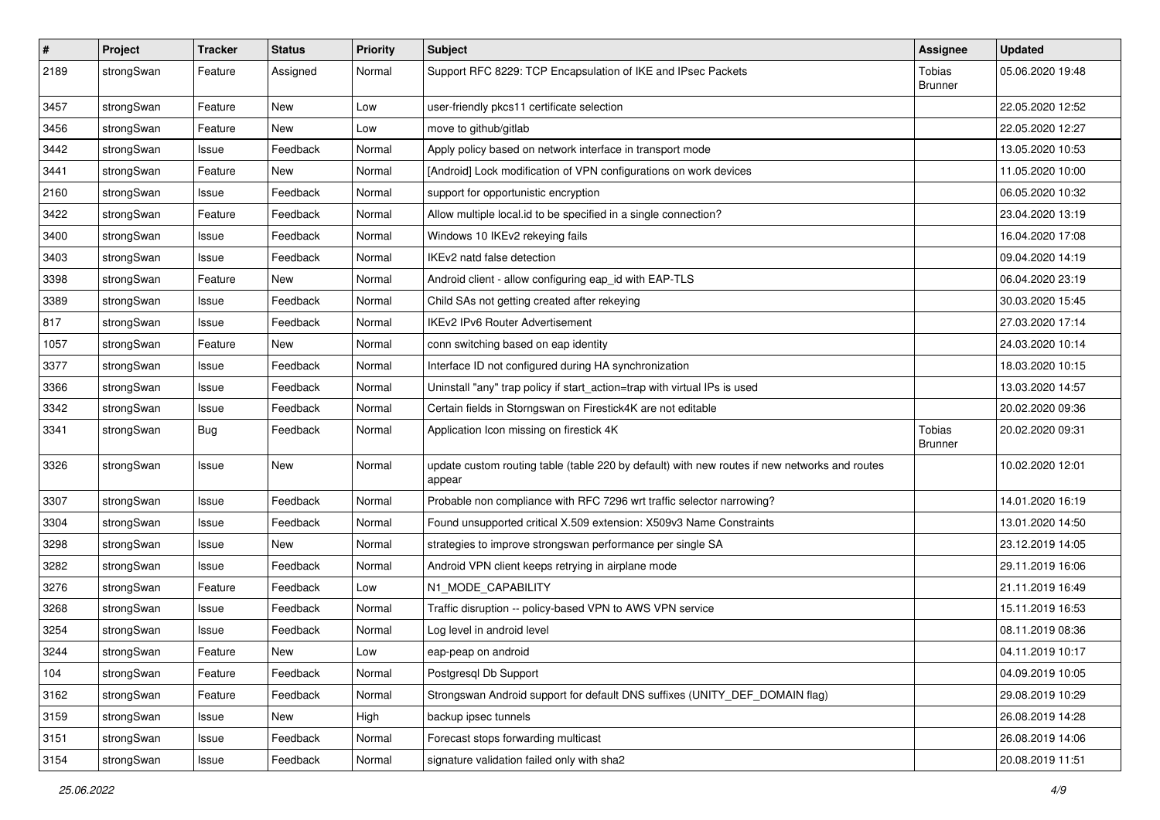| #    | Project    | <b>Tracker</b> | <b>Status</b> | <b>Priority</b> | <b>Subject</b>                                                                                          | <b>Assignee</b>          | <b>Updated</b>   |
|------|------------|----------------|---------------|-----------------|---------------------------------------------------------------------------------------------------------|--------------------------|------------------|
| 2189 | strongSwan | Feature        | Assigned      | Normal          | Support RFC 8229: TCP Encapsulation of IKE and IPsec Packets                                            | Tobias<br><b>Brunner</b> | 05.06.2020 19:48 |
| 3457 | strongSwan | Feature        | New           | Low             | user-friendly pkcs11 certificate selection                                                              |                          | 22.05.2020 12:52 |
| 3456 | strongSwan | Feature        | <b>New</b>    | Low             | move to github/gitlab                                                                                   |                          | 22.05.2020 12:27 |
| 3442 | strongSwan | Issue          | Feedback      | Normal          | Apply policy based on network interface in transport mode                                               |                          | 13.05.2020 10:53 |
| 3441 | strongSwan | Feature        | New           | Normal          | [Android] Lock modification of VPN configurations on work devices                                       |                          | 11.05.2020 10:00 |
| 2160 | strongSwan | Issue          | Feedback      | Normal          | support for opportunistic encryption                                                                    |                          | 06.05.2020 10:32 |
| 3422 | strongSwan | Feature        | Feedback      | Normal          | Allow multiple local.id to be specified in a single connection?                                         |                          | 23.04.2020 13:19 |
| 3400 | strongSwan | Issue          | Feedback      | Normal          | Windows 10 IKEv2 rekeying fails                                                                         |                          | 16.04.2020 17:08 |
| 3403 | strongSwan | Issue          | Feedback      | Normal          | IKEv2 natd false detection                                                                              |                          | 09.04.2020 14:19 |
| 3398 | strongSwan | Feature        | New           | Normal          | Android client - allow configuring eap_id with EAP-TLS                                                  |                          | 06.04.2020 23:19 |
| 3389 | strongSwan | Issue          | Feedback      | Normal          | Child SAs not getting created after rekeying                                                            |                          | 30.03.2020 15:45 |
| 817  | strongSwan | Issue          | Feedback      | Normal          | <b>IKEv2 IPv6 Router Advertisement</b>                                                                  |                          | 27.03.2020 17:14 |
| 1057 | strongSwan | Feature        | New           | Normal          | conn switching based on eap identity                                                                    |                          | 24.03.2020 10:14 |
| 3377 | strongSwan | Issue          | Feedback      | Normal          | Interface ID not configured during HA synchronization                                                   |                          | 18.03.2020 10:15 |
| 3366 | strongSwan | Issue          | Feedback      | Normal          | Uninstall "any" trap policy if start_action=trap with virtual IPs is used                               |                          | 13.03.2020 14:57 |
| 3342 | strongSwan | Issue          | Feedback      | Normal          | Certain fields in Storngswan on Firestick4K are not editable                                            |                          | 20.02.2020 09:36 |
| 3341 | strongSwan | Bug            | Feedback      | Normal          | Application Icon missing on firestick 4K                                                                | Tobias<br><b>Brunner</b> | 20.02.2020 09:31 |
| 3326 | strongSwan | Issue          | New           | Normal          | update custom routing table (table 220 by default) with new routes if new networks and routes<br>appear |                          | 10.02.2020 12:01 |
| 3307 | strongSwan | Issue          | Feedback      | Normal          | Probable non compliance with RFC 7296 wrt traffic selector narrowing?                                   |                          | 14.01.2020 16:19 |
| 3304 | strongSwan | Issue          | Feedback      | Normal          | Found unsupported critical X.509 extension: X509v3 Name Constraints                                     |                          | 13.01.2020 14:50 |
| 3298 | strongSwan | Issue          | New           | Normal          | strategies to improve strongswan performance per single SA                                              |                          | 23.12.2019 14:05 |
| 3282 | strongSwan | Issue          | Feedback      | Normal          | Android VPN client keeps retrying in airplane mode                                                      |                          | 29.11.2019 16:06 |
| 3276 | strongSwan | Feature        | Feedback      | Low             | N1_MODE_CAPABILITY                                                                                      |                          | 21.11.2019 16:49 |
| 3268 | strongSwan | Issue          | Feedback      | Normal          | Traffic disruption -- policy-based VPN to AWS VPN service                                               |                          | 15.11.2019 16:53 |
| 3254 | strongSwan | Issue          | Feedback      | Normal          | Log level in android level                                                                              |                          | 08.11.2019 08:36 |
| 3244 | strongSwan | Feature        | New           | Low             | eap-peap on android                                                                                     |                          | 04.11.2019 10:17 |
| 104  | strongSwan | Feature        | Feedback      | Normal          | Postgresgl Db Support                                                                                   |                          | 04.09.2019 10:05 |
| 3162 | strongSwan | Feature        | Feedback      | Normal          | Strongswan Android support for default DNS suffixes (UNITY_DEF_DOMAIN flag)                             |                          | 29.08.2019 10:29 |
| 3159 | strongSwan | Issue          | New           | High            | backup ipsec tunnels                                                                                    |                          | 26.08.2019 14:28 |
| 3151 | strongSwan | Issue          | Feedback      | Normal          | Forecast stops forwarding multicast                                                                     |                          | 26.08.2019 14:06 |
| 3154 | strongSwan | Issue          | Feedback      | Normal          | signature validation failed only with sha2                                                              |                          | 20.08.2019 11:51 |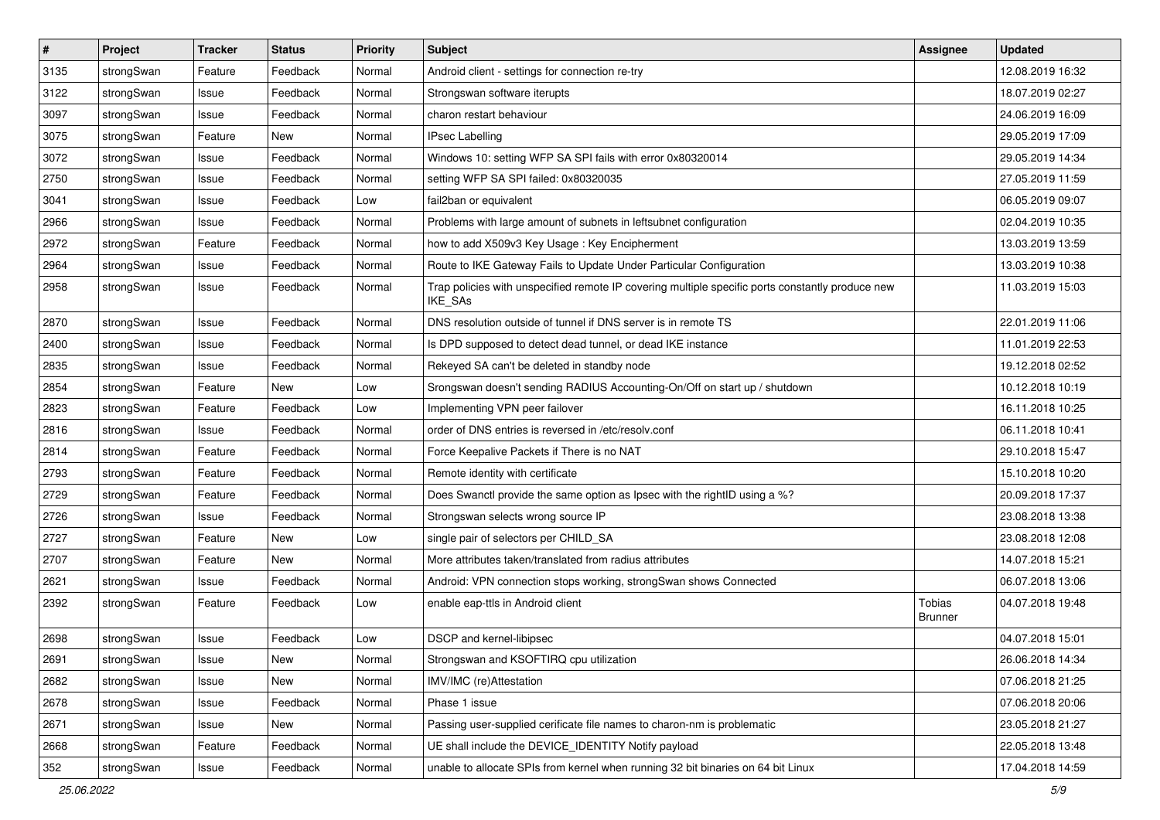| $\pmb{\#}$ | Project    | <b>Tracker</b> | <b>Status</b> | <b>Priority</b> | <b>Subject</b>                                                                                              | <b>Assignee</b>          | <b>Updated</b>   |
|------------|------------|----------------|---------------|-----------------|-------------------------------------------------------------------------------------------------------------|--------------------------|------------------|
| 3135       | strongSwan | Feature        | Feedback      | Normal          | Android client - settings for connection re-try                                                             |                          | 12.08.2019 16:32 |
| 3122       | strongSwan | Issue          | Feedback      | Normal          | Strongswan software iterupts                                                                                |                          | 18.07.2019 02:27 |
| 3097       | strongSwan | Issue          | Feedback      | Normal          | charon restart behaviour                                                                                    |                          | 24.06.2019 16:09 |
| 3075       | strongSwan | Feature        | New           | Normal          | <b>IPsec Labelling</b>                                                                                      |                          | 29.05.2019 17:09 |
| 3072       | strongSwan | Issue          | Feedback      | Normal          | Windows 10: setting WFP SA SPI fails with error 0x80320014                                                  |                          | 29.05.2019 14:34 |
| 2750       | strongSwan | Issue          | Feedback      | Normal          | setting WFP SA SPI failed: 0x80320035                                                                       |                          | 27.05.2019 11:59 |
| 3041       | strongSwan | Issue          | Feedback      | Low             | fail2ban or equivalent                                                                                      |                          | 06.05.2019 09:07 |
| 2966       | strongSwan | Issue          | Feedback      | Normal          | Problems with large amount of subnets in leftsubnet configuration                                           |                          | 02.04.2019 10:35 |
| 2972       | strongSwan | Feature        | Feedback      | Normal          | how to add X509v3 Key Usage: Key Encipherment                                                               |                          | 13.03.2019 13:59 |
| 2964       | strongSwan | Issue          | Feedback      | Normal          | Route to IKE Gateway Fails to Update Under Particular Configuration                                         |                          | 13.03.2019 10:38 |
| 2958       | strongSwan | Issue          | Feedback      | Normal          | Trap policies with unspecified remote IP covering multiple specific ports constantly produce new<br>IKE_SAs |                          | 11.03.2019 15:03 |
| 2870       | strongSwan | Issue          | Feedback      | Normal          | DNS resolution outside of tunnel if DNS server is in remote TS                                              |                          | 22.01.2019 11:06 |
| 2400       | strongSwan | Issue          | Feedback      | Normal          | Is DPD supposed to detect dead tunnel, or dead IKE instance                                                 |                          | 11.01.2019 22:53 |
| 2835       | strongSwan | Issue          | Feedback      | Normal          | Rekeyed SA can't be deleted in standby node                                                                 |                          | 19.12.2018 02:52 |
| 2854       | strongSwan | Feature        | New           | Low             | Srongswan doesn't sending RADIUS Accounting-On/Off on start up / shutdown                                   |                          | 10.12.2018 10:19 |
| 2823       | strongSwan | Feature        | Feedback      | Low             | Implementing VPN peer failover                                                                              |                          | 16.11.2018 10:25 |
| 2816       | strongSwan | Issue          | Feedback      | Normal          | order of DNS entries is reversed in /etc/resolv.conf                                                        |                          | 06.11.2018 10:41 |
| 2814       | strongSwan | Feature        | Feedback      | Normal          | Force Keepalive Packets if There is no NAT                                                                  |                          | 29.10.2018 15:47 |
| 2793       | strongSwan | Feature        | Feedback      | Normal          | Remote identity with certificate                                                                            |                          | 15.10.2018 10:20 |
| 2729       | strongSwan | Feature        | Feedback      | Normal          | Does Swanctl provide the same option as Ipsec with the rightID using a %?                                   |                          | 20.09.2018 17:37 |
| 2726       | strongSwan | Issue          | Feedback      | Normal          | Strongswan selects wrong source IP                                                                          |                          | 23.08.2018 13:38 |
| 2727       | strongSwan | Feature        | New           | Low             | single pair of selectors per CHILD_SA                                                                       |                          | 23.08.2018 12:08 |
| 2707       | strongSwan | Feature        | New           | Normal          | More attributes taken/translated from radius attributes                                                     |                          | 14.07.2018 15:21 |
| 2621       | strongSwan | Issue          | Feedback      | Normal          | Android: VPN connection stops working, strongSwan shows Connected                                           |                          | 06.07.2018 13:06 |
| 2392       | strongSwan | Feature        | Feedback      | Low             | enable eap-ttls in Android client                                                                           | Tobias<br><b>Brunner</b> | 04.07.2018 19:48 |
| 2698       | strongSwan | Issue          | Feedback      | Low             | DSCP and kernel-libipsec                                                                                    |                          | 04.07.2018 15:01 |
| 2691       | strongSwan | Issue          | New           | Normal          | Strongswan and KSOFTIRQ cpu utilization                                                                     |                          | 26.06.2018 14:34 |
| 2682       | strongSwan | Issue          | New           | Normal          | IMV/IMC (re)Attestation                                                                                     |                          | 07.06.2018 21:25 |
| 2678       | strongSwan | Issue          | Feedback      | Normal          | Phase 1 issue                                                                                               |                          | 07.06.2018 20:06 |
| 2671       | strongSwan | Issue          | New           | Normal          | Passing user-supplied cerificate file names to charon-nm is problematic                                     |                          | 23.05.2018 21:27 |
| 2668       | strongSwan | Feature        | Feedback      | Normal          | UE shall include the DEVICE_IDENTITY Notify payload                                                         |                          | 22.05.2018 13:48 |
| 352        | strongSwan | Issue          | Feedback      | Normal          | unable to allocate SPIs from kernel when running 32 bit binaries on 64 bit Linux                            |                          | 17.04.2018 14:59 |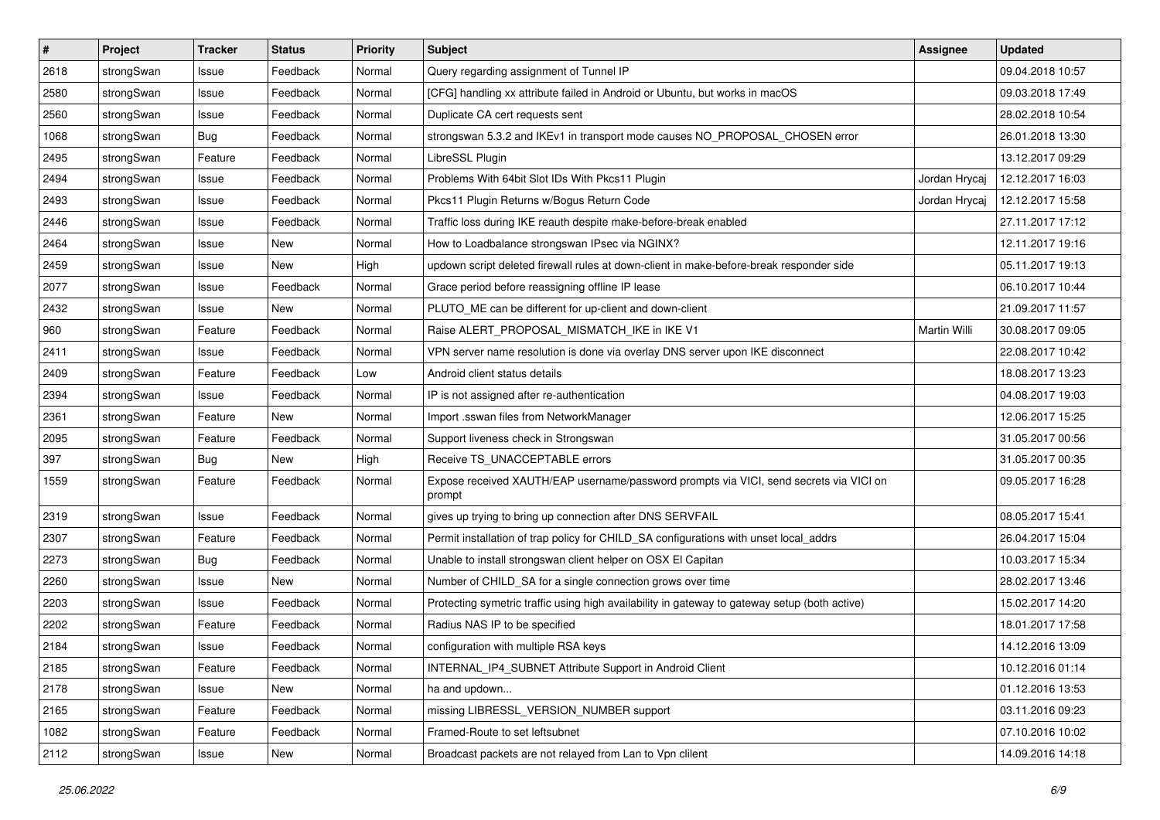| #    | Project    | <b>Tracker</b> | <b>Status</b> | <b>Priority</b> | <b>Subject</b>                                                                                   | <b>Assignee</b> | <b>Updated</b>   |
|------|------------|----------------|---------------|-----------------|--------------------------------------------------------------------------------------------------|-----------------|------------------|
| 2618 | strongSwan | Issue          | Feedback      | Normal          | Query regarding assignment of Tunnel IP                                                          |                 | 09.04.2018 10:57 |
| 2580 | strongSwan | Issue          | Feedback      | Normal          | [CFG] handling xx attribute failed in Android or Ubuntu, but works in macOS                      |                 | 09.03.2018 17:49 |
| 2560 | strongSwan | Issue          | Feedback      | Normal          | Duplicate CA cert requests sent                                                                  |                 | 28.02.2018 10:54 |
| 1068 | strongSwan | Bug            | Feedback      | Normal          | strongswan 5.3.2 and IKEv1 in transport mode causes NO_PROPOSAL_CHOSEN error                     |                 | 26.01.2018 13:30 |
| 2495 | strongSwan | Feature        | Feedback      | Normal          | LibreSSL Plugin                                                                                  |                 | 13.12.2017 09:29 |
| 2494 | strongSwan | Issue          | Feedback      | Normal          | Problems With 64bit Slot IDs With Pkcs11 Plugin                                                  | Jordan Hrycaj   | 12.12.2017 16:03 |
| 2493 | strongSwan | Issue          | Feedback      | Normal          | Pkcs11 Plugin Returns w/Bogus Return Code                                                        | Jordan Hrycaj   | 12.12.2017 15:58 |
| 2446 | strongSwan | Issue          | Feedback      | Normal          | Traffic loss during IKE reauth despite make-before-break enabled                                 |                 | 27.11.2017 17:12 |
| 2464 | strongSwan | Issue          | <b>New</b>    | Normal          | How to Loadbalance strongswan IPsec via NGINX?                                                   |                 | 12.11.2017 19:16 |
| 2459 | strongSwan | Issue          | <b>New</b>    | High            | updown script deleted firewall rules at down-client in make-before-break responder side          |                 | 05.11.2017 19:13 |
| 2077 | strongSwan | Issue          | Feedback      | Normal          | Grace period before reassigning offline IP lease                                                 |                 | 06.10.2017 10:44 |
| 2432 | strongSwan | Issue          | New           | Normal          | PLUTO_ME can be different for up-client and down-client                                          |                 | 21.09.2017 11:57 |
| 960  | strongSwan | Feature        | Feedback      | Normal          | Raise ALERT PROPOSAL MISMATCH IKE in IKE V1                                                      | Martin Willi    | 30.08.2017 09:05 |
| 2411 | strongSwan | Issue          | Feedback      | Normal          | VPN server name resolution is done via overlay DNS server upon IKE disconnect                    |                 | 22.08.2017 10:42 |
| 2409 | strongSwan | Feature        | Feedback      | Low             | Android client status details                                                                    |                 | 18.08.2017 13:23 |
| 2394 | strongSwan | Issue          | Feedback      | Normal          | IP is not assigned after re-authentication                                                       |                 | 04.08.2017 19:03 |
| 2361 | strongSwan | Feature        | New           | Normal          | Import .sswan files from NetworkManager                                                          |                 | 12.06.2017 15:25 |
| 2095 | strongSwan | Feature        | Feedback      | Normal          | Support liveness check in Strongswan                                                             |                 | 31.05.2017 00:56 |
| 397  | strongSwan | <b>Bug</b>     | New           | High            | Receive TS_UNACCEPTABLE errors                                                                   |                 | 31.05.2017 00:35 |
| 1559 | strongSwan | Feature        | Feedback      | Normal          | Expose received XAUTH/EAP username/password prompts via VICI, send secrets via VICI on<br>prompt |                 | 09.05.2017 16:28 |
| 2319 | strongSwan | Issue          | Feedback      | Normal          | gives up trying to bring up connection after DNS SERVFAIL                                        |                 | 08.05.2017 15:41 |
| 2307 | strongSwan | Feature        | Feedback      | Normal          | Permit installation of trap policy for CHILD_SA configurations with unset local_addrs            |                 | 26.04.2017 15:04 |
| 2273 | strongSwan | <b>Bug</b>     | Feedback      | Normal          | Unable to install strongswan client helper on OSX El Capitan                                     |                 | 10.03.2017 15:34 |
| 2260 | strongSwan | Issue          | New           | Normal          | Number of CHILD_SA for a single connection grows over time                                       |                 | 28.02.2017 13:46 |
| 2203 | strongSwan | Issue          | Feedback      | Normal          | Protecting symetric traffic using high availability in gateway to gateway setup (both active)    |                 | 15.02.2017 14:20 |
| 2202 | strongSwan | Feature        | Feedback      | Normal          | Radius NAS IP to be specified                                                                    |                 | 18.01.2017 17:58 |
| 2184 | strongSwan | Issue          | Feedback      | Normal          | configuration with multiple RSA keys                                                             |                 | 14.12.2016 13:09 |
| 2185 | strongSwan | Feature        | Feedback      | Normal          | INTERNAL_IP4_SUBNET Attribute Support in Android Client                                          |                 | 10.12.2016 01:14 |
| 2178 | strongSwan | Issue          | New           | Normal          | ha and updown                                                                                    |                 | 01.12.2016 13:53 |
| 2165 | strongSwan | Feature        | Feedback      | Normal          | missing LIBRESSL_VERSION_NUMBER support                                                          |                 | 03.11.2016 09:23 |
| 1082 | strongSwan | Feature        | Feedback      | Normal          | Framed-Route to set leftsubnet                                                                   |                 | 07.10.2016 10:02 |
| 2112 | strongSwan | Issue          | New           | Normal          | Broadcast packets are not relayed from Lan to Vpn clilent                                        |                 | 14.09.2016 14:18 |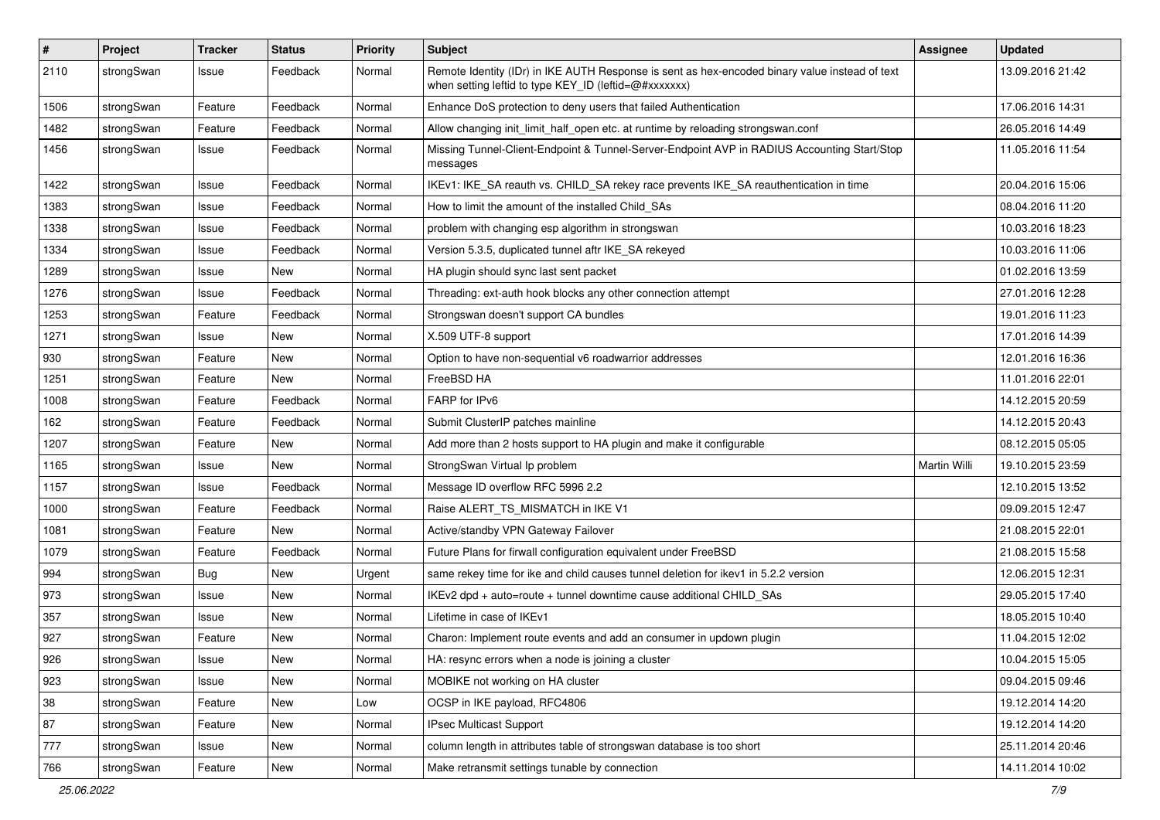| $\sharp$ | Project    | <b>Tracker</b> | <b>Status</b> | <b>Priority</b> | <b>Subject</b>                                                                                                                                          | <b>Assignee</b>     | <b>Updated</b>   |
|----------|------------|----------------|---------------|-----------------|---------------------------------------------------------------------------------------------------------------------------------------------------------|---------------------|------------------|
| 2110     | strongSwan | Issue          | Feedback      | Normal          | Remote Identity (IDr) in IKE AUTH Response is sent as hex-encoded binary value instead of text<br>when setting leftid to type KEY_ID (leftid=@#xxxxxxx) |                     | 13.09.2016 21:42 |
| 1506     | strongSwan | Feature        | Feedback      | Normal          | Enhance DoS protection to deny users that failed Authentication                                                                                         |                     | 17.06.2016 14:31 |
| 1482     | strongSwan | Feature        | Feedback      | Normal          | Allow changing init_limit_half_open etc. at runtime by reloading strongswan.conf                                                                        |                     | 26.05.2016 14:49 |
| 1456     | strongSwan | Issue          | Feedback      | Normal          | Missing Tunnel-Client-Endpoint & Tunnel-Server-Endpoint AVP in RADIUS Accounting Start/Stop<br>messages                                                 |                     | 11.05.2016 11:54 |
| 1422     | strongSwan | Issue          | Feedback      | Normal          | IKEv1: IKE_SA reauth vs. CHILD_SA rekey race prevents IKE_SA reauthentication in time                                                                   |                     | 20.04.2016 15:06 |
| 1383     | strongSwan | Issue          | Feedback      | Normal          | How to limit the amount of the installed Child_SAs                                                                                                      |                     | 08.04.2016 11:20 |
| 1338     | strongSwan | Issue          | Feedback      | Normal          | problem with changing esp algorithm in strongswan                                                                                                       |                     | 10.03.2016 18:23 |
| 1334     | strongSwan | Issue          | Feedback      | Normal          | Version 5.3.5, duplicated tunnel aftr IKE_SA rekeyed                                                                                                    |                     | 10.03.2016 11:06 |
| 1289     | strongSwan | Issue          | New           | Normal          | HA plugin should sync last sent packet                                                                                                                  |                     | 01.02.2016 13:59 |
| 1276     | strongSwan | Issue          | Feedback      | Normal          | Threading: ext-auth hook blocks any other connection attempt                                                                                            |                     | 27.01.2016 12:28 |
| 1253     | strongSwan | Feature        | Feedback      | Normal          | Strongswan doesn't support CA bundles                                                                                                                   |                     | 19.01.2016 11:23 |
| 1271     | strongSwan | Issue          | New           | Normal          | X.509 UTF-8 support                                                                                                                                     |                     | 17.01.2016 14:39 |
| 930      | strongSwan | Feature        | New           | Normal          | Option to have non-sequential v6 roadwarrior addresses                                                                                                  |                     | 12.01.2016 16:36 |
| 1251     | strongSwan | Feature        | New           | Normal          | FreeBSD HA                                                                                                                                              |                     | 11.01.2016 22:01 |
| 1008     | strongSwan | Feature        | Feedback      | Normal          | FARP for IPv6                                                                                                                                           |                     | 14.12.2015 20:59 |
| 162      | strongSwan | Feature        | Feedback      | Normal          | Submit ClusterIP patches mainline                                                                                                                       |                     | 14.12.2015 20:43 |
| 1207     | strongSwan | Feature        | New           | Normal          | Add more than 2 hosts support to HA plugin and make it configurable                                                                                     |                     | 08.12.2015 05:05 |
| 1165     | strongSwan | Issue          | New           | Normal          | StrongSwan Virtual Ip problem                                                                                                                           | <b>Martin Willi</b> | 19.10.2015 23:59 |
| 1157     | strongSwan | Issue          | Feedback      | Normal          | Message ID overflow RFC 5996 2.2                                                                                                                        |                     | 12.10.2015 13:52 |
| 1000     | strongSwan | Feature        | Feedback      | Normal          | Raise ALERT_TS_MISMATCH in IKE V1                                                                                                                       |                     | 09.09.2015 12:47 |
| 1081     | strongSwan | Feature        | New           | Normal          | Active/standby VPN Gateway Failover                                                                                                                     |                     | 21.08.2015 22:01 |
| 1079     | strongSwan | Feature        | Feedback      | Normal          | Future Plans for firwall configuration equivalent under FreeBSD                                                                                         |                     | 21.08.2015 15:58 |
| 994      | strongSwan | Bug            | <b>New</b>    | Urgent          | same rekey time for ike and child causes tunnel deletion for ikev1 in 5.2.2 version                                                                     |                     | 12.06.2015 12:31 |
| 973      | strongSwan | Issue          | <b>New</b>    | Normal          | IKEv2 dpd + auto=route + tunnel downtime cause additional CHILD_SAs                                                                                     |                     | 29.05.2015 17:40 |
| 357      | strongSwan | Issue          | New           | Normal          | Lifetime in case of IKEv1                                                                                                                               |                     | 18.05.2015 10:40 |
| 927      | strongSwan | Feature        | <b>New</b>    | Normal          | Charon: Implement route events and add an consumer in updown plugin                                                                                     |                     | 11.04.2015 12:02 |
| 926      | strongSwan | Issue          | New           | Normal          | HA: resync errors when a node is joining a cluster                                                                                                      |                     | 10.04.2015 15:05 |
| 923      | strongSwan | Issue          | New           | Normal          | MOBIKE not working on HA cluster                                                                                                                        |                     | 09.04.2015 09:46 |
| 38       | strongSwan | Feature        | New           | Low             | OCSP in IKE payload, RFC4806                                                                                                                            |                     | 19.12.2014 14:20 |
| 87       | strongSwan | Feature        | New           | Normal          | IPsec Multicast Support                                                                                                                                 |                     | 19.12.2014 14:20 |
| $777\,$  | strongSwan | Issue          | New           | Normal          | column length in attributes table of strongswan database is too short                                                                                   |                     | 25.11.2014 20:46 |
| 766      | strongSwan | Feature        | New           | Normal          | Make retransmit settings tunable by connection                                                                                                          |                     | 14.11.2014 10:02 |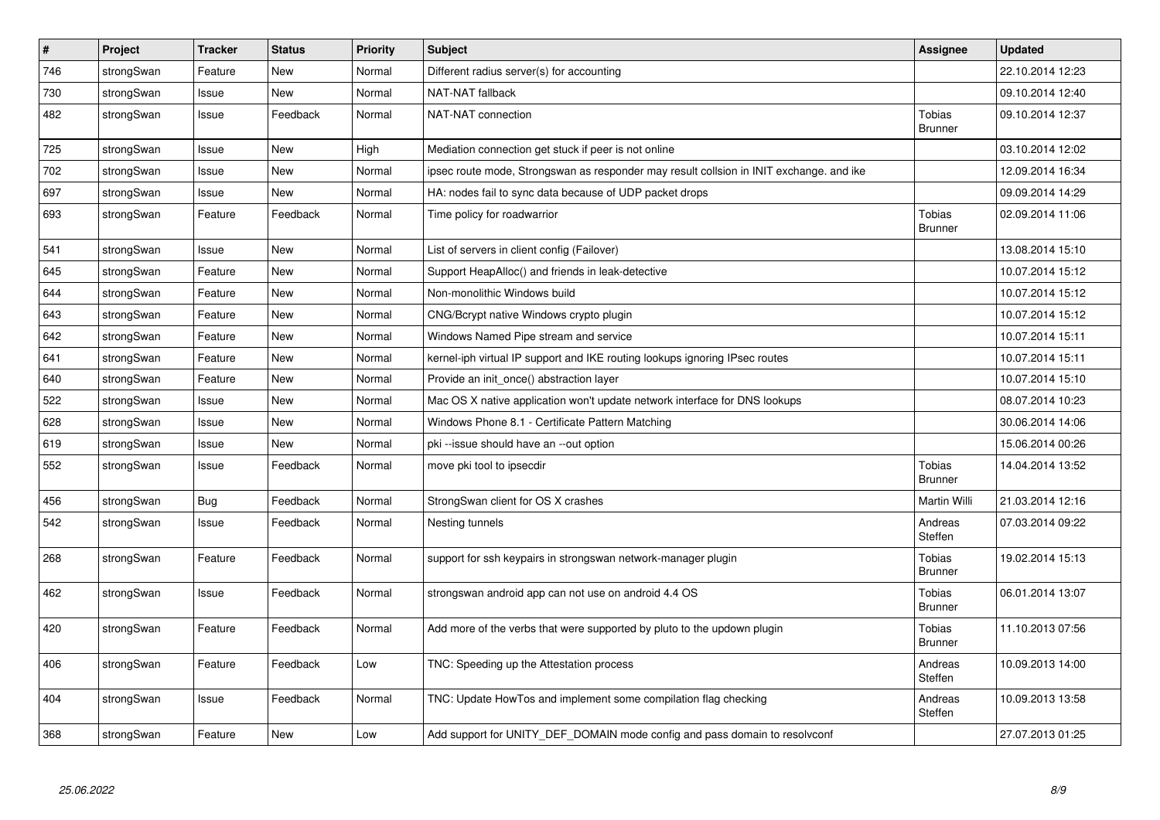| $\sharp$ | Project    | <b>Tracker</b> | <b>Status</b> | <b>Priority</b> | <b>Subject</b>                                                                          | Assignee                        | <b>Updated</b>   |
|----------|------------|----------------|---------------|-----------------|-----------------------------------------------------------------------------------------|---------------------------------|------------------|
| 746      | strongSwan | Feature        | New           | Normal          | Different radius server(s) for accounting                                               |                                 | 22.10.2014 12:23 |
| 730      | strongSwan | Issue          | <b>New</b>    | Normal          | NAT-NAT fallback                                                                        |                                 | 09.10.2014 12:40 |
| 482      | strongSwan | Issue          | Feedback      | Normal          | NAT-NAT connection                                                                      | <b>Tobias</b><br><b>Brunner</b> | 09.10.2014 12:37 |
| 725      | strongSwan | Issue          | <b>New</b>    | High            | Mediation connection get stuck if peer is not online                                    |                                 | 03.10.2014 12:02 |
| 702      | strongSwan | Issue          | <b>New</b>    | Normal          | ipsec route mode, Strongswan as responder may result collsion in INIT exchange, and ike |                                 | 12.09.2014 16:34 |
| 697      | strongSwan | Issue          | New           | Normal          | HA: nodes fail to sync data because of UDP packet drops                                 |                                 | 09.09.2014 14:29 |
| 693      | strongSwan | Feature        | Feedback      | Normal          | Time policy for roadwarrior                                                             | Tobias<br><b>Brunner</b>        | 02.09.2014 11:06 |
| 541      | strongSwan | Issue          | <b>New</b>    | Normal          | List of servers in client config (Failover)                                             |                                 | 13.08.2014 15:10 |
| 645      | strongSwan | Feature        | New           | Normal          | Support HeapAlloc() and friends in leak-detective                                       |                                 | 10.07.2014 15:12 |
| 644      | strongSwan | Feature        | New           | Normal          | Non-monolithic Windows build                                                            |                                 | 10.07.2014 15:12 |
| 643      | strongSwan | Feature        | New           | Normal          | CNG/Bcrypt native Windows crypto plugin                                                 |                                 | 10.07.2014 15:12 |
| 642      | strongSwan | Feature        | <b>New</b>    | Normal          | Windows Named Pipe stream and service                                                   |                                 | 10.07.2014 15:11 |
| 641      | strongSwan | Feature        | <b>New</b>    | Normal          | kernel-iph virtual IP support and IKE routing lookups ignoring IPsec routes             |                                 | 10.07.2014 15:11 |
| 640      | strongSwan | Feature        | New           | Normal          | Provide an init_once() abstraction layer                                                |                                 | 10.07.2014 15:10 |
| 522      | strongSwan | Issue          | <b>New</b>    | Normal          | Mac OS X native application won't update network interface for DNS lookups              |                                 | 08.07.2014 10:23 |
| 628      | strongSwan | Issue          | <b>New</b>    | Normal          | Windows Phone 8.1 - Certificate Pattern Matching                                        |                                 | 30.06.2014 14:06 |
| 619      | strongSwan | Issue          | New           | Normal          | pki --issue should have an --out option                                                 |                                 | 15.06.2014 00:26 |
| 552      | strongSwan | Issue          | Feedback      | Normal          | move pki tool to ipsecdir                                                               | <b>Tobias</b><br><b>Brunner</b> | 14.04.2014 13:52 |
| 456      | strongSwan | <b>Bug</b>     | Feedback      | Normal          | StrongSwan client for OS X crashes                                                      | Martin Willi                    | 21.03.2014 12:16 |
| 542      | strongSwan | Issue          | Feedback      | Normal          | Nesting tunnels                                                                         | Andreas<br>Steffen              | 07.03.2014 09:22 |
| 268      | strongSwan | Feature        | Feedback      | Normal          | support for ssh keypairs in strongswan network-manager plugin                           | Tobias<br><b>Brunner</b>        | 19.02.2014 15:13 |
| 462      | strongSwan | Issue          | Feedback      | Normal          | strongswan android app can not use on android 4.4 OS                                    | Tobias<br><b>Brunner</b>        | 06.01.2014 13:07 |
| 420      | strongSwan | Feature        | Feedback      | Normal          | Add more of the verbs that were supported by pluto to the updown plugin                 | <b>Tobias</b><br><b>Brunner</b> | 11.10.2013 07:56 |
| 406      | strongSwan | Feature        | Feedback      | Low             | TNC: Speeding up the Attestation process                                                | Andreas<br>Steffen              | 10.09.2013 14:00 |
| 404      | strongSwan | Issue          | Feedback      | Normal          | TNC: Update HowTos and implement some compilation flag checking                         | Andreas<br>Steffen              | 10.09.2013 13:58 |
| 368      | strongSwan | Feature        | New           | Low             | Add support for UNITY_DEF_DOMAIN mode config and pass domain to resolvconf              |                                 | 27.07.2013 01:25 |